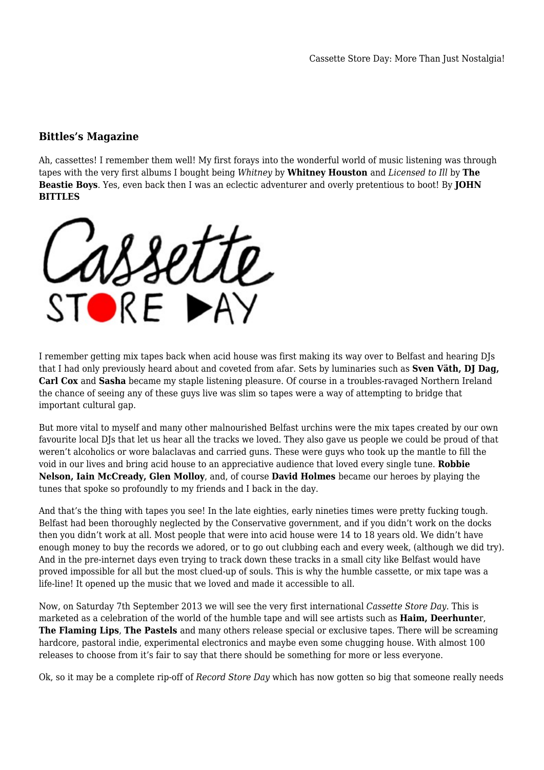## **Bittles's Magazine**

Ah, cassettes! I remember them well! My first forays into the wonderful world of music listening was through tapes with the very first albums I bought being *Whitney* by **Whitney Houston** and *Licensed to Ill* by **The Beastie Boys**. Yes, even back then I was an eclectic adventurer and overly pretentious to boot! By **JOHN BITTLES**

STORF DA

I remember getting mix tapes back when acid house was first making its way over to Belfast and hearing DJs that I had only previously heard about and coveted from afar. Sets by luminaries such as **Sven Väth, DJ Dag, Carl Cox** and **Sasha** became my staple listening pleasure. Of course in a troubles-ravaged Northern Ireland the chance of seeing any of these guys live was slim so tapes were a way of attempting to bridge that important cultural gap.

But more vital to myself and many other malnourished Belfast urchins were the mix tapes created by our own favourite local DJs that let us hear all the tracks we loved. They also gave us people we could be proud of that weren't alcoholics or wore balaclavas and carried guns. These were guys who took up the mantle to fill the void in our lives and bring acid house to an appreciative audience that loved every single tune. **Robbie Nelson, Iain McCready, Glen Molloy**, and, of course **David Holmes** became our heroes by playing the tunes that spoke so profoundly to my friends and I back in the day.

And that's the thing with tapes you see! In the late eighties, early nineties times were pretty fucking tough. Belfast had been thoroughly neglected by the Conservative government, and if you didn't work on the docks then you didn't work at all. Most people that were into acid house were 14 to 18 years old. We didn't have enough money to buy the records we adored, or to go out clubbing each and every week, (although we did try). And in the pre-internet days even trying to track down these tracks in a small city like Belfast would have proved impossible for all but the most clued-up of souls. This is why the humble cassette, or mix tape was a life-line! It opened up the music that we loved and made it accessible to all.

Now, on Saturday 7th September 2013 we will see the very first international *Cassette Store Day*. This is marketed as a celebration of the world of the humble tape and will see artists such as **Haim, Deerhunte**r, **The Flaming Lips**, **The Pastels** and many others release special or exclusive tapes. There will be screaming hardcore, pastoral indie, experimental electronics and maybe even some chugging house. With almost 100 releases to choose from it's fair to say that there should be something for more or less everyone.

Ok, so it may be a complete rip-off of *Record Store Day* which has now gotten so big that someone really needs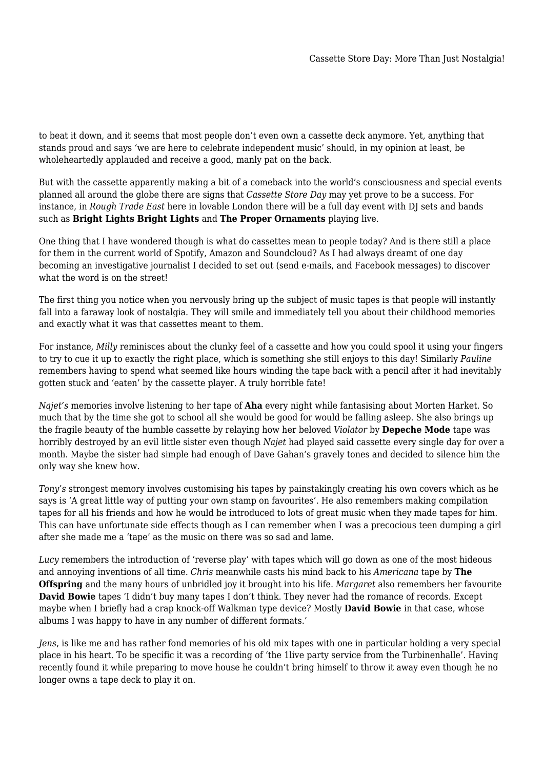to beat it down, and it seems that most people don't even own a cassette deck anymore. Yet, anything that stands proud and says 'we are here to celebrate independent music' should, in my opinion at least, be wholeheartedly applauded and receive a good, manly pat on the back.

But with the cassette apparently making a bit of a comeback into the world's consciousness and special events planned all around the globe there are signs that *Cassette Store Day* may yet prove to be a success. For instance, in *Rough Trade East* here in lovable London there will be a full day event with DJ sets and bands such as **Bright Lights Bright Lights** and **The Proper Ornaments** playing live.

One thing that I have wondered though is what do cassettes mean to people today? And is there still a place for them in the current world of Spotify, Amazon and Soundcloud? As I had always dreamt of one day becoming an investigative journalist I decided to set out (send e-mails, and Facebook messages) to discover what the word is on the street!

The first thing you notice when you nervously bring up the subject of music tapes is that people will instantly fall into a faraway look of nostalgia. They will smile and immediately tell you about their childhood memories and exactly what it was that cassettes meant to them.

For instance, *Milly* reminisces about the clunky feel of a cassette and how you could spool it using your fingers to try to cue it up to exactly the right place, which is something she still enjoys to this day! Similarly *Pauline* remembers having to spend what seemed like hours winding the tape back with a pencil after it had inevitably gotten stuck and 'eaten' by the cassette player. A truly horrible fate!

*Najet's* memories involve listening to her tape of **Aha** every night while fantasising about Morten Harket. So much that by the time she got to school all she would be good for would be falling asleep. She also brings up the fragile beauty of the humble cassette by relaying how her beloved *Violator* by **Depeche Mode** tape was horribly destroyed by an evil little sister even though *Najet* had played said cassette every single day for over a month. Maybe the sister had simple had enough of Dave Gahan's gravely tones and decided to silence him the only way she knew how.

*Tony's* strongest memory involves customising his tapes by painstakingly creating his own covers which as he says is 'A great little way of putting your own stamp on favourites'. He also remembers making compilation tapes for all his friends and how he would be introduced to lots of great music when they made tapes for him. This can have unfortunate side effects though as I can remember when I was a precocious teen dumping a girl after she made me a 'tape' as the music on there was so sad and lame.

*Lucy* remembers the introduction of 'reverse play' with tapes which will go down as one of the most hideous and annoying inventions of all time. *Chris* meanwhile casts his mind back to his *Americana* tape by **The Offspring** and the many hours of unbridled joy it brought into his life. *Margaret* also remembers her favourite **David Bowie** tapes 'I didn't buy many tapes I don't think. They never had the romance of records. Except maybe when I briefly had a crap knock-off Walkman type device? Mostly **David Bowie** in that case, whose albums I was happy to have in any number of different formats.'

*Jens*, is like me and has rather fond memories of his old mix tapes with one in particular holding a very special place in his heart. To be specific it was a recording of 'the 1live party service from the Turbinenhalle'. Having recently found it while preparing to move house he couldn't bring himself to throw it away even though he no longer owns a tape deck to play it on.